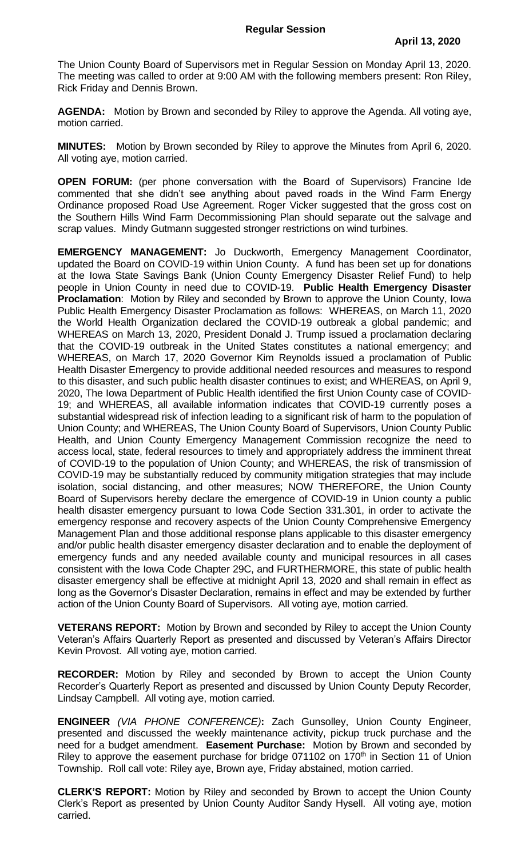The Union County Board of Supervisors met in Regular Session on Monday April 13, 2020. The meeting was called to order at 9:00 AM with the following members present: Ron Riley, Rick Friday and Dennis Brown.

**AGENDA:** Motion by Brown and seconded by Riley to approve the Agenda. All voting aye, motion carried.

**MINUTES:** Motion by Brown seconded by Riley to approve the Minutes from April 6, 2020. All voting aye, motion carried.

**OPEN FORUM:** (per phone conversation with the Board of Supervisors) Francine Ide commented that she didn't see anything about paved roads in the Wind Farm Energy Ordinance proposed Road Use Agreement. Roger Vicker suggested that the gross cost on the Southern Hills Wind Farm Decommissioning Plan should separate out the salvage and scrap values. Mindy Gutmann suggested stronger restrictions on wind turbines.

**EMERGENCY MANAGEMENT:** Jo Duckworth, Emergency Management Coordinator, updated the Board on COVID-19 within Union County. A fund has been set up for donations at the Iowa State Savings Bank (Union County Emergency Disaster Relief Fund) to help people in Union County in need due to COVID-19. **Public Health Emergency Disaster Proclamation**: Motion by Riley and seconded by Brown to approve the Union County, Iowa Public Health Emergency Disaster Proclamation as follows: WHEREAS, on March 11, 2020 the World Health Organization declared the COVID-19 outbreak a global pandemic; and WHEREAS on March 13, 2020, President Donald J. Trump issued a proclamation declaring that the COVID-19 outbreak in the United States constitutes a national emergency; and WHEREAS, on March 17, 2020 Governor Kim Reynolds issued a proclamation of Public Health Disaster Emergency to provide additional needed resources and measures to respond to this disaster, and such public health disaster continues to exist; and WHEREAS, on April 9, 2020, The Iowa Department of Public Health identified the first Union County case of COVID-19; and WHEREAS, all available information indicates that COVID-19 currently poses a substantial widespread risk of infection leading to a significant risk of harm to the population of Union County; and WHEREAS, The Union County Board of Supervisors, Union County Public Health, and Union County Emergency Management Commission recognize the need to access local, state, federal resources to timely and appropriately address the imminent threat of COVID-19 to the population of Union County; and WHEREAS, the risk of transmission of COVID-19 may be substantially reduced by community mitigation strategies that may include isolation, social distancing, and other measures; NOW THEREFORE, the Union County Board of Supervisors hereby declare the emergence of COVID-19 in Union county a public health disaster emergency pursuant to Iowa Code Section 331.301, in order to activate the emergency response and recovery aspects of the Union County Comprehensive Emergency Management Plan and those additional response plans applicable to this disaster emergency and/or public health disaster emergency disaster declaration and to enable the deployment of emergency funds and any needed available county and municipal resources in all cases consistent with the Iowa Code Chapter 29C, and FURTHERMORE, this state of public health disaster emergency shall be effective at midnight April 13, 2020 and shall remain in effect as long as the Governor's Disaster Declaration, remains in effect and may be extended by further action of the Union County Board of Supervisors. All voting aye, motion carried.

**VETERANS REPORT:** Motion by Brown and seconded by Riley to accept the Union County Veteran's Affairs Quarterly Report as presented and discussed by Veteran's Affairs Director Kevin Provost. All voting aye, motion carried.

**RECORDER:** Motion by Riley and seconded by Brown to accept the Union County Recorder's Quarterly Report as presented and discussed by Union County Deputy Recorder, Lindsay Campbell. All voting aye, motion carried.

**ENGINEER** *(VIA PHONE CONFERENCE)***:** Zach Gunsolley, Union County Engineer, presented and discussed the weekly maintenance activity, pickup truck purchase and the need for a budget amendment. **Easement Purchase:** Motion by Brown and seconded by Riley to approve the easement purchase for bridge  $071102$  on  $170<sup>th</sup>$  in Section 11 of Union Township. Roll call vote: Riley aye, Brown aye, Friday abstained, motion carried.

**CLERK'S REPORT:** Motion by Riley and seconded by Brown to accept the Union County Clerk's Report as presented by Union County Auditor Sandy Hysell. All voting aye, motion carried.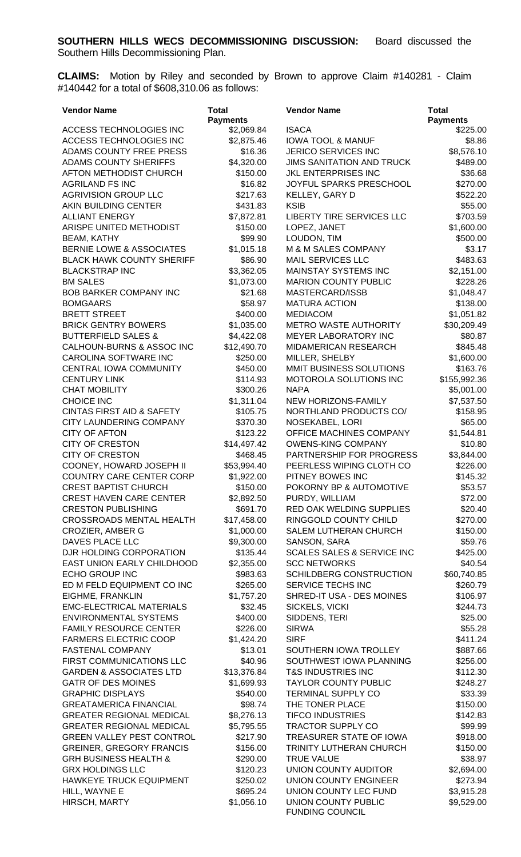**CLAIMS:** Motion by Riley and seconded by Brown to approve Claim #140281 - Claim #140442 for a total of \$608,310.06 as follows:

| <b>Vendor Name</b>                                 | <b>Total</b>          | <b>Vendor Name</b>                                  | <b>Total</b>           |
|----------------------------------------------------|-----------------------|-----------------------------------------------------|------------------------|
|                                                    | <b>Payments</b>       |                                                     | <b>Payments</b>        |
| ACCESS TECHNOLOGIES INC                            | \$2,069.84            | <b>ISACA</b>                                        | \$225.00               |
| ACCESS TECHNOLOGIES INC                            | \$2,875.46            | <b>IOWA TOOL &amp; MANUF</b>                        | \$8.86                 |
| ADAMS COUNTY FREE PRESS                            | \$16.36               | JERICO SERVICES INC                                 | \$8,576.10             |
| ADAMS COUNTY SHERIFFS                              | \$4,320.00            | <b>JIMS SANITATION AND TRUCK</b>                    | \$489.00               |
| AFTON METHODIST CHURCH                             | \$150.00              | JKL ENTERPRISES INC                                 | \$36.68                |
| <b>AGRILAND FS INC</b>                             | \$16.82               | JOYFUL SPARKS PRESCHOOL                             | \$270.00               |
| <b>AGRIVISION GROUP LLC</b>                        | \$217.63              | KELLEY, GARY D                                      | \$522.20               |
| AKIN BUILDING CENTER                               | \$431.83              | <b>KSIB</b>                                         | \$55.00                |
| <b>ALLIANT ENERGY</b>                              | \$7,872.81            | <b>LIBERTY TIRE SERVICES LLC</b>                    | \$703.59               |
| ARISPE UNITED METHODIST                            | \$150.00              | LOPEZ, JANET                                        | \$1,600.00             |
| <b>BEAM, KATHY</b>                                 | \$99.90               | LOUDON, TIM                                         | \$500.00               |
| <b>BERNIE LOWE &amp; ASSOCIATES</b>                | \$1,015.18            | M & M SALES COMPANY                                 | \$3.17                 |
| <b>BLACK HAWK COUNTY SHERIFF</b>                   | \$86.90               | <b>MAIL SERVICES LLC</b>                            | \$483.63               |
| <b>BLACKSTRAP INC</b><br><b>BM SALES</b>           | \$3,362.05            | MAINSTAY SYSTEMS INC<br><b>MARION COUNTY PUBLIC</b> | \$2,151.00             |
| <b>BOB BARKER COMPANY INC</b>                      | \$1,073.00<br>\$21.68 | MASTERCARD/ISSB                                     | \$228.26<br>\$1,048.47 |
| <b>BOMGAARS</b>                                    | \$58.97               | <b>MATURA ACTION</b>                                | \$138.00               |
| <b>BRETT STREET</b>                                | \$400.00              | <b>MEDIACOM</b>                                     | \$1,051.82             |
| <b>BRICK GENTRY BOWERS</b>                         | \$1,035.00            | METRO WASTE AUTHORITY                               | \$30,209.49            |
| <b>BUTTERFIELD SALES &amp;</b>                     | \$4,422.08            | MEYER LABORATORY INC                                | \$80.87                |
| CALHOUN-BURNS & ASSOC INC                          | \$12,490.70           | MIDAMERICAN RESEARCH                                | \$845.48               |
| CAROLINA SOFTWARE INC                              | \$250.00              | MILLER, SHELBY                                      | \$1,600.00             |
| CENTRAL IOWA COMMUNITY                             | \$450.00              | MMIT BUSINESS SOLUTIONS                             | \$163.76               |
| <b>CENTURY LINK</b>                                | \$114.93              | MOTOROLA SOLUTIONS INC                              | \$155,992.36           |
| <b>CHAT MOBILITY</b>                               | \$300.26              | <b>NAPA</b>                                         | \$5,001.00             |
| <b>CHOICE INC</b>                                  | \$1,311.04            | NEW HORIZONS-FAMILY                                 | \$7,537.50             |
| <b>CINTAS FIRST AID &amp; SAFETY</b>               | \$105.75              | NORTHLAND PRODUCTS CO/                              | \$158.95               |
| CITY LAUNDERING COMPANY                            | \$370.30              | NOSEKABEL, LORI                                     | \$65.00                |
| <b>CITY OF AFTON</b>                               | \$123.22              | OFFICE MACHINES COMPANY                             | \$1,544.81             |
| <b>CITY OF CRESTON</b>                             | \$14,497.42           | <b>OWENS-KING COMPANY</b>                           | \$10.80                |
| <b>CITY OF CRESTON</b>                             | \$468.45              | PARTNERSHIP FOR PROGRESS                            | \$3,844.00             |
| COONEY, HOWARD JOSEPH II                           | \$53,994.40           | PEERLESS WIPING CLOTH CO                            | \$226.00               |
| COUNTRY CARE CENTER CORP                           | \$1,922.00            | PITNEY BOWES INC                                    | \$145.32               |
| <b>CREST BAPTIST CHURCH</b>                        | \$150.00              | POKORNY BP & AUTOMOTIVE                             | \$53.57                |
| <b>CREST HAVEN CARE CENTER</b>                     | \$2,892.50            | PURDY, WILLIAM                                      | \$72.00                |
| <b>CRESTON PUBLISHING</b>                          | \$691.70              | RED OAK WELDING SUPPLIES                            | \$20.40                |
| <b>CROSSROADS MENTAL HEALTH</b>                    | \$17,458.00           | RINGGOLD COUNTY CHILD                               | \$270.00               |
| <b>CROZIER, AMBER G</b>                            | \$1,000.00            | SALEM LUTHERAN CHURCH                               | \$150.00               |
| DAVES PLACE LLC                                    | \$9,300.00            | SANSON, SARA                                        | \$59.76                |
| DJR HOLDING CORPORATION                            | \$135.44              | SCALES SALES & SERVICE INC                          | \$425.00               |
| EAST UNION EARLY CHILDHOOD                         | \$2,355.00            | <b>SCC NETWORKS</b>                                 | \$40.54                |
| <b>ECHO GROUP INC</b>                              | \$983.63              | SCHILDBERG CONSTRUCTION                             | \$60,740.85            |
| ED M FELD EQUIPMENT CO INC                         | \$265.00              | SERVICE TECHS INC                                   | \$260.79               |
| EIGHME, FRANKLIN                                   | \$1,757.20            | SHRED-IT USA - DES MOINES                           | \$106.97               |
| <b>EMC-ELECTRICAL MATERIALS</b>                    | \$32.45               | SICKELS, VICKI                                      | \$244.73               |
| <b>ENVIRONMENTAL SYSTEMS</b>                       | \$400.00              | SIDDENS, TERI                                       | \$25.00                |
| <b>FAMILY RESOURCE CENTER</b>                      | \$226.00              | <b>SIRWA</b>                                        | \$55.28                |
| <b>FARMERS ELECTRIC COOP</b>                       | \$1,424.20            | <b>SIRF</b>                                         | \$411.24               |
| <b>FASTENAL COMPANY</b>                            | \$13.01               | SOUTHERN IOWA TROLLEY                               | \$887.66               |
| FIRST COMMUNICATIONS LLC                           | \$40.96               | SOUTHWEST IOWA PLANNING                             | \$256.00               |
| <b>GARDEN &amp; ASSOCIATES LTD</b>                 | \$13,376.84           | <b>T&amp;S INDUSTRIES INC</b>                       | \$112.30               |
| <b>GATR OF DES MOINES</b>                          | \$1,699.93            | <b>TAYLOR COUNTY PUBLIC</b>                         | \$248.27               |
| <b>GRAPHIC DISPLAYS</b>                            | \$540.00              | <b>TERMINAL SUPPLY CO</b>                           | \$33.39                |
| <b>GREATAMERICA FINANCIAL</b>                      | \$98.74               | THE TONER PLACE                                     | \$150.00               |
| <b>GREATER REGIONAL MEDICAL</b>                    | \$8,276.13            | <b>TIFCO INDUSTRIES</b>                             | \$142.83               |
| <b>GREATER REGIONAL MEDICAL</b>                    | \$5,795.55            | <b>TRACTOR SUPPLY CO</b>                            | \$99.99                |
| <b>GREEN VALLEY PEST CONTROL</b>                   | \$217.90              | TREASURER STATE OF IOWA                             | \$918.00               |
| <b>GREINER, GREGORY FRANCIS</b>                    | \$156.00              | TRINITY LUTHERAN CHURCH                             | \$150.00               |
| <b>GRH BUSINESS HEALTH &amp;</b>                   | \$290.00              | <b>TRUE VALUE</b>                                   | \$38.97                |
| <b>GRX HOLDINGS LLC</b><br>HAWKEYE TRUCK EQUIPMENT | \$120.23              | UNION COUNTY AUDITOR                                | \$2,694.00             |
| HILL, WAYNE E                                      | \$250.02<br>\$695.24  | UNION COUNTY ENGINEER<br>UNION COUNTY LEC FUND      | \$273.94<br>\$3,915.28 |
| HIRSCH, MARTY                                      | \$1,056.10            | UNION COUNTY PUBLIC                                 | \$9,529.00             |
|                                                    |                       | <b>FUNDING COUNCIL</b>                              |                        |